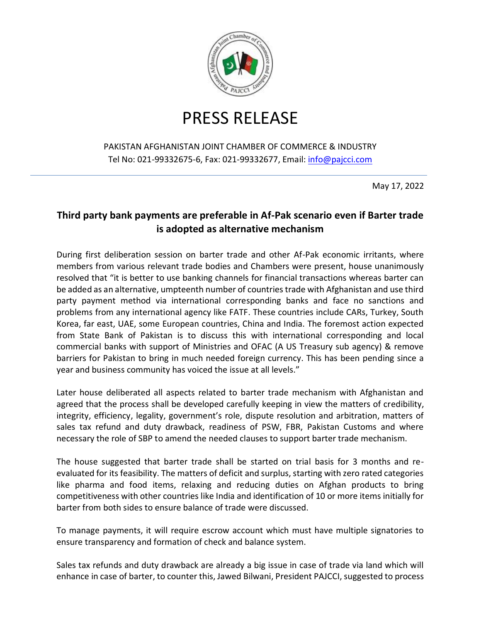

## PRESS RELEASE

## PAKISTAN AFGHANISTAN JOINT CHAMBER OF COMMERCE & INDUSTRY Tel No: 021-99332675-6, Fax: 021-99332677, Email: [info@pajcci.com](mailto:info@pajcci.com)

May 17, 2022

## **Third party bank payments are preferable in Af-Pak scenario even if Barter trade is adopted as alternative mechanism**

During first deliberation session on barter trade and other Af-Pak economic irritants, where members from various relevant trade bodies and Chambers were present, house unanimously resolved that "it is better to use banking channels for financial transactions whereas barter can be added as an alternative, umpteenth number of countries trade with Afghanistan and use third party payment method via international corresponding banks and face no sanctions and problems from any international agency like FATF. These countries include CARs, Turkey, South Korea, far east, UAE, some European countries, China and India. The foremost action expected from State Bank of Pakistan is to discuss this with international corresponding and local commercial banks with support of Ministries and OFAC (A US Treasury sub agency) & remove barriers for Pakistan to bring in much needed foreign currency. This has been pending since a year and business community has voiced the issue at all levels."

Later house deliberated all aspects related to barter trade mechanism with Afghanistan and agreed that the process shall be developed carefully keeping in view the matters of credibility, integrity, efficiency, legality, government's role, dispute resolution and arbitration, matters of sales tax refund and duty drawback, readiness of PSW, FBR, Pakistan Customs and where necessary the role of SBP to amend the needed clauses to support barter trade mechanism.

The house suggested that barter trade shall be started on trial basis for 3 months and reevaluated for its feasibility. The matters of deficit and surplus, starting with zero rated categories like pharma and food items, relaxing and reducing duties on Afghan products to bring competitiveness with other countries like India and identification of 10 or more items initially for barter from both sides to ensure balance of trade were discussed.

To manage payments, it will require escrow account which must have multiple signatories to ensure transparency and formation of check and balance system.

Sales tax refunds and duty drawback are already a big issue in case of trade via land which will enhance in case of barter, to counter this, Jawed Bilwani, President PAJCCI, suggested to process